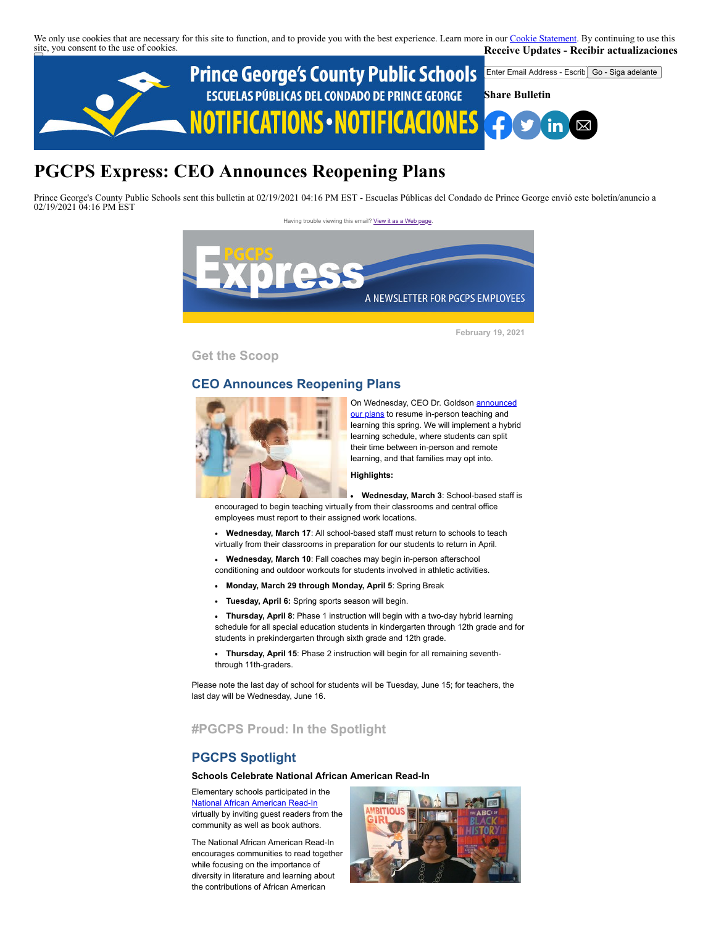We only use cookies that are necessary for this site to function, and to provide you with the best experience. Learn more in our [Cookie Statement.](https://subscriberhelp.granicus.com/s/article/Cookies) By continuing to use this site, you consent to the use of cookies. **Receive Updates - Recibir actualizaciones**



# **PGCPS Express: CEO Announces Reopening Plans**

Prince George's County Public Schools sent this bulletin at 02/19/2021 04:16 PM EST - Escuelas Públicas del Condado de Prince George envió este boletín/anuncio a 02/19/2021 04:16 PM EST





**February 19, 2021**

**Get the Scoop**

#### **CEO Announces Reopening Plans**



On Wednesday, CEO Dr. Goldson **announced** our plans to resume in-person teaching and learning this spring. We will implement a hybrid learning schedule, where students can split their time between in-person and remote learning, and that families may opt into.

#### **Highlights:**

**Wednesday, March 3**: School-based staff is encouraged to begin teaching virtually from their classrooms and central office employees must report to their assigned work locations.

- **Wednesday, March 17**: All school-based staff must return to schools to teach  $\blacksquare$ virtually from their classrooms in preparation for our students to return in April.
- **Wednesday, March 10**: Fall coaches may begin in-person afterschool conditioning and outdoor workouts for students involved in athletic activities.
- **Monday, March 29 through Monday, April 5**: Spring Break
- **Tuesday, April 6:** Spring sports season will begin.
- **Thursday, April 8**: Phase 1 instruction will begin with a two-day hybrid learning schedule for all special education students in kindergarten through 12th grade and for students in prekindergarten through sixth grade and 12th grade.
- **Thursday, April 15**: Phase 2 instruction will begin for all remaining sevenththrough 11th-graders.

Please note the last day of school for students will be Tuesday, June 15; for teachers, the last day will be Wednesday, June 16.

# **#PGCPS Proud: In the Spotlight**

#### **PGCPS Spotlight**

#### **Schools Celebrate National African American Read-In**

Elementary schools participated in the [National African American Read-In](https://ncte.org/get-involved/african-american-read-in/) virtually by inviting guest readers from the community as well as book authors.

The National African American Read-In encourages communities to read together while focusing on the importance of diversity in literature and learning about the contributions of African American

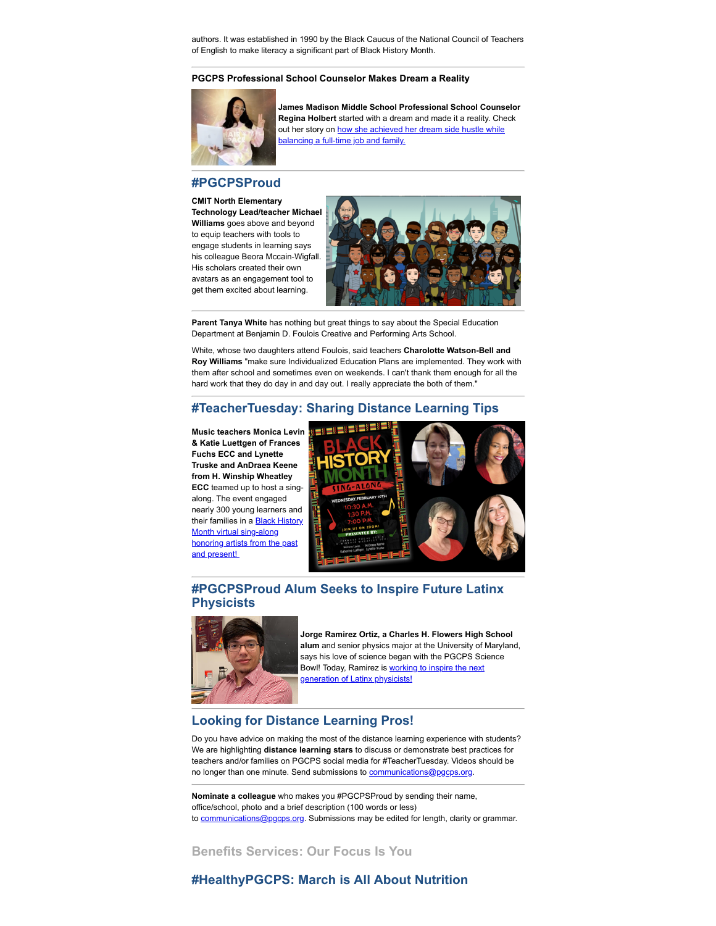authors. It was established in 1990 by the Black Caucus of the National Council of Teachers of English to make literacy a significant part of Black History Month.

#### **PGCPS Professional School Counselor Makes Dream a Reality**



**James Madison Middle School Professional School Counselor Regina Holbert** started with a dream and made it a reality. Check [out her story on how she achieved her dream side hustle while](https://www.nbcwashington.com/news/local/how-a-maryland-school-counselor-launched-a-dream-side-hustle-her-own-salon/2576653/) balancing a full-time job and family<u>.</u>

## **#PGCPSProud**

**CMIT North Elementary Technology Lead/teacher Michael Williams** goes above and beyond to equip teachers with tools to engage students in learning says his colleague Beora Mccain-Wigfall. His scholars created their own avatars as an engagement tool to get them excited about learning.



**Parent Tanya White** has nothing but great things to say about the Special Education Department at Benjamin D. Foulois Creative and Performing Arts School.

White, whose two daughters attend Foulois, said teachers **Charolotte Watson-Bell and Roy Williams** "make sure Individualized Education Plans are implemented. They work with them after school and sometimes even on weekends. I can't thank them enough for all the hard work that they do day in and day out. I really appreciate the both of them."

#### **#TeacherTuesday: Sharing Distance Learning Tips**

**Music teachers Monica Levin & Katie Luettgen of Frances Fuchs ECC and Lynette Truske and AnDraea Keene from H. Winship Wheatley ECC** teamed up to host a singalong. The event engaged nearly 300 young learners and their families in a **Black History** Month virtual sing-along honoring artists from the past and present!



# **#PGCPSProud Alum Seeks to Inspire Future Latinx Physicists**



**Jorge Ramirez Ortiz, a Charles H. Flowers High School alum** and senior physics major at the University of Maryland, says his love of science began with the PGCPS Science Bowl! Today, Ramirez is **working to inspire the next** generation of Latinx physicists!

## **Looking for Distance Learning Pros!**

Do you have advice on making the most of the distance learning experience with students? We are highlighting **distance learning stars** to discuss or demonstrate best practices for teachers and/or families on PGCPS social media for #TeacherTuesday. Videos should be no longer than one minute. Send submissions to [communications@pgcps.org](mailto:communications@pgcps.org).

**Nominate a colleague** who makes you #PGCPSProud by sending their name, office/school, photo and a brief description (100 words or less) to [communications@pgcps.org](mailto:communications@pgcps.org). Submissions may be edited for length, clarity or grammar.

**Benefits Services: Our Focus Is You**

## **#HealthyPGCPS: March is All About Nutrition**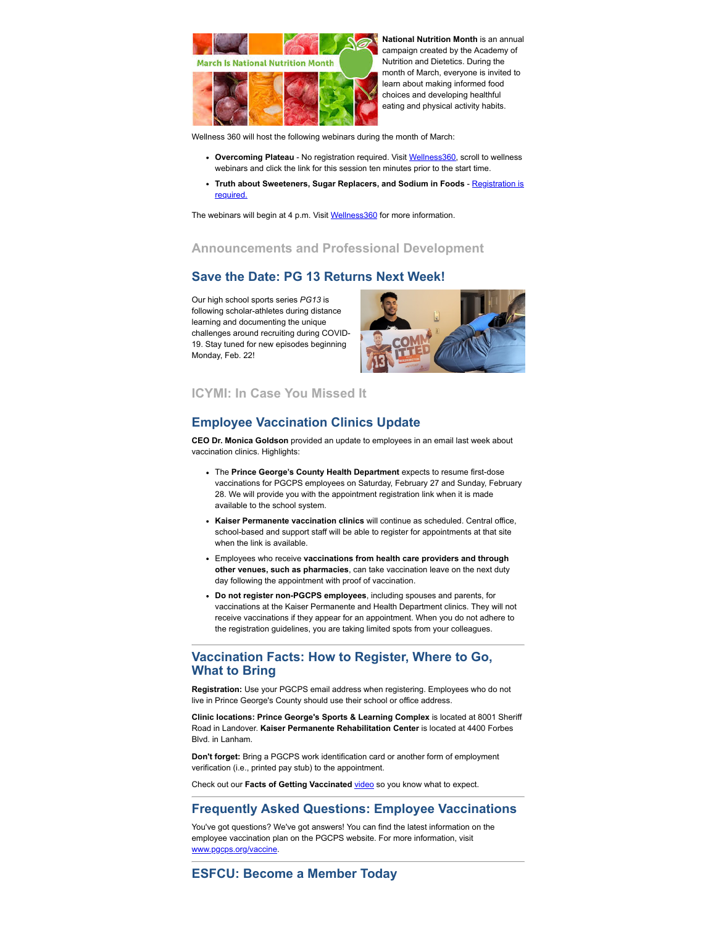

**National Nutrition Month** is an annual campaign created by the Academy of Nutrition and Dietetics. During the month of March, everyone is invited to learn about making informed food choices and developing healthful eating and physical activity habits.

Wellness 360 will host the following webinars during the month of March:

- **Overcoming Plateau** No registration required. Visit [Wellness360,](https://offices.pgcps.org/Wellness/Cards/Employee-Wellness-Program/) scroll to wellness webinars and click the link for this session ten minutes prior to the start time.
- **· [Truth about Sweeteners, Sugar Replacers, and Sodium in Foods](https://kponline.webex.com/mw3300/mywebex/default.do?service=7&nomenu=true&main_url=%2Ftc3300%2Ftrainingcenter%2FLoading.do%3Fsiteurl%3Dkponline%26UID%3D-99999999%26RT%3DMiMxMQ%253D%253D%26siteurl%3Dkponline%26apiname%3Dj.php%26MTID%3Dt1006eded23f5935fb17ca5591feb91e0%26FM%3D1%26rnd%3D7557241255%26servicename%3DTC%26ED%3D1147959702%26needFilter%3Dfalse&siteurl=kponline)** Registration is **required**

The webinars will begin at 4 p.m. Visit [Wellness360](https://offices.pgcps.org/Wellness/Cards/Employee-Wellness-Program/) for more information.

## **Announcements and Professional Development**

# **Save the Date: PG 13 Returns Next Week!**

Our high school sports series *PG13* is following scholar-athletes during distance learning and documenting the unique challenges around recruiting during COVID-19. Stay tuned for new episodes beginning Monday, Feb. 22!



## **ICYMI: In Case You Missed It**

# **Employee Vaccination Clinics Update**

**CEO Dr. Monica Goldson** provided an update to employees in an email last week about vaccination clinics. Highlights:

- The **Prince George's County Health Department** expects to resume first-dose vaccinations for PGCPS employees on Saturday, February 27 and Sunday, February 28. We will provide you with the appointment registration link when it is made available to the school system.
- **Kaiser Permanente vaccination clinics** will continue as scheduled. Central office, school-based and support staff will be able to register for appointments at that site when the link is available.
- Employees who receive **vaccinations from health care providers and through other venues, such as pharmacies**, can take vaccination leave on the next duty day following the appointment with proof of vaccination.
- **Do not register non-PGCPS employees**, including spouses and parents, for vaccinations at the Kaiser Permanente and Health Department clinics. They will not receive vaccinations if they appear for an appointment. When you do not adhere to the registration guidelines, you are taking limited spots from your colleagues.

## **Vaccination Facts: How to Register, Where to Go, What to Bring**

**Registration:** Use your PGCPS email address when registering. Employees who do not live in Prince George's County should use their school or office address.

**Clinic locations: Prince George's Sports & Learning Complex** is located at 8001 Sheriff Road in Landover. **Kaiser Permanente Rehabilitation Center** is located at 4400 Forbes Blvd. in Lanham.

**Don't forget:** Bring a PGCPS work identification card or another form of employment verification (i.e., printed pay stub) to the appointment.

Check out our **Facts of Getting Vaccinated** [video](https://www.youtube.com/watch?reload=9&v=Gi0ONgnhDsk&feature=youtu.be) so you know what to expect.

## **Frequently Asked Questions: Employee Vaccinations**

You've got questions? We've got answers! You can find the latest information on the employee vaccination plan on the PGCPS website. For more information, visit [www.pgcps.org/vaccine](https://www.pgcps.org/vaccine).

**ESFCU: Become a Member Today**